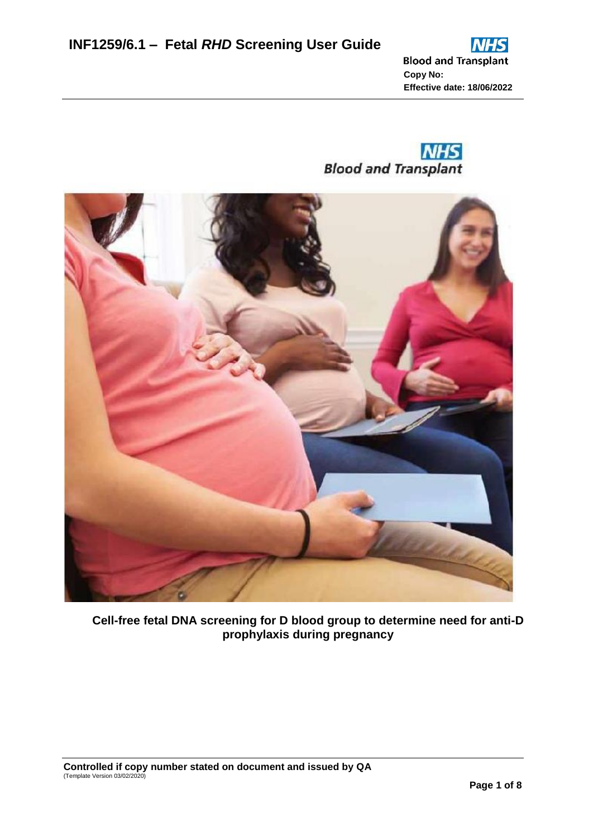



**Cell-free fetal DNA screening for D blood group to determine need for anti-D prophylaxis during pregnancy**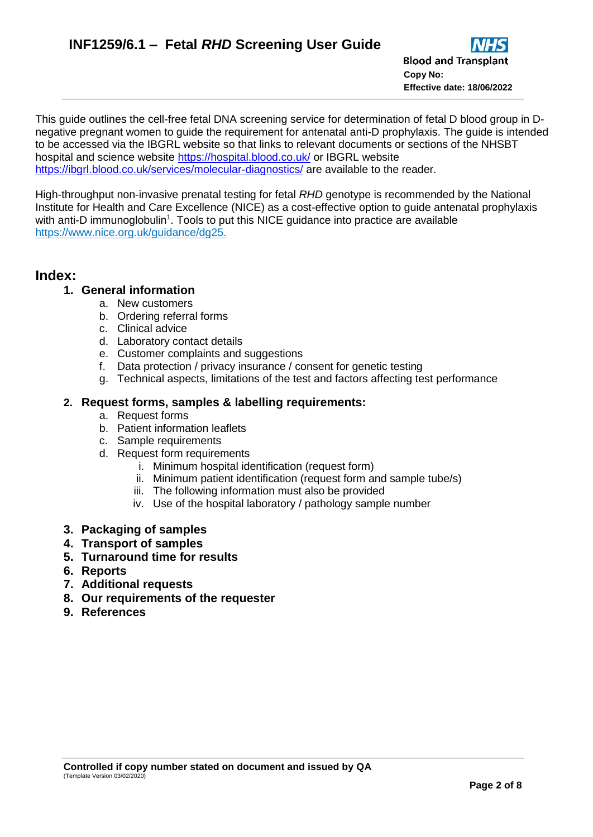This guide outlines the cell-free fetal DNA screening service for determination of fetal D blood group in Dnegative pregnant women to guide the requirement for antenatal anti-D prophylaxis. The guide is intended to be accessed via the IBGRL website so that links to relevant documents or sections of the NHSBT hospital and science website<https://hospital.blood.co.uk/> or IBGRL website <https://ibgrl.blood.co.uk/services/molecular-diagnostics/> are available to the reader.

High-throughput non-invasive prenatal testing for fetal *RHD* genotype is recommended by the National Institute for Health and Care Excellence (NICE) as a cost-effective option to guide antenatal prophylaxis with anti-D immunoglobulin<sup>1</sup>. Tools to put this NICE guidance into practice are available [https://www.nice.org.uk/guidance/dg25.](https://www.nice.org.uk/guidance/dg25)

# **Index:**

# **1. General information**

- a. New customers
- b. Ordering referral forms
- c. Clinical advice
- d. Laboratory contact details
- e. Customer complaints and suggestions
- f. Data protection / privacy insurance / consent for genetic testing
- g. Technical aspects, limitations of the test and factors affecting test performance

### **2. Request forms, samples & labelling requirements:**

- a. Request forms
- b. Patient information leaflets
- c. Sample requirements
- d. Request form requirements
	- i. Minimum hospital identification (request form)
	- ii. Minimum patient identification (request form and sample tube/s)
	- iii. The following information must also be provided
	- iv. Use of the hospital laboratory / pathology sample number
- **3. Packaging of samples**
- **4. Transport of samples**
- **5. Turnaround time for results**
- **6. Reports**
- **7. Additional requests**
- **8. Our requirements of the requester**
- **9. References**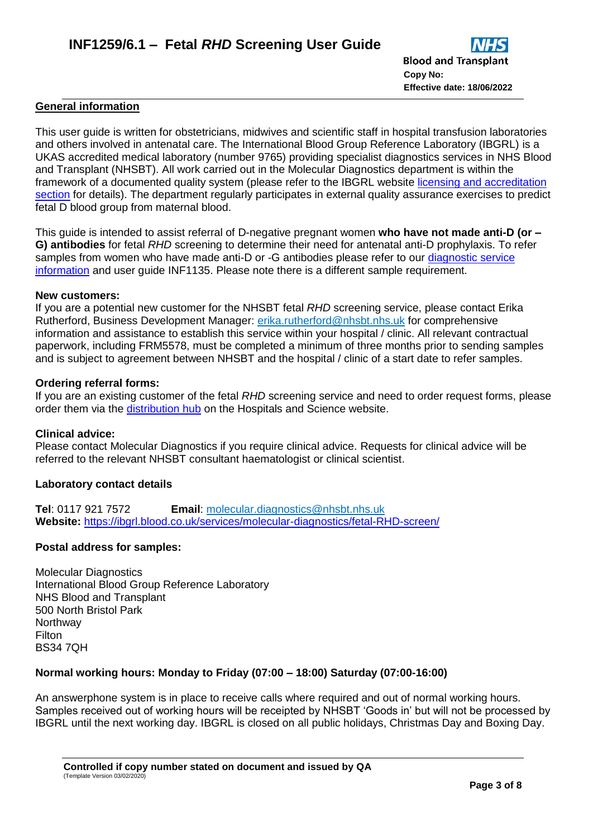#### **General information**

This user guide is written for obstetricians, midwives and scientific staff in hospital transfusion laboratories and others involved in antenatal care. The International Blood Group Reference Laboratory (IBGRL) is a UKAS accredited medical laboratory (number 9765) providing specialist diagnostics services in NHS Blood and Transplant (NHSBT). All work carried out in the Molecular Diagnostics department is within the framework of a documented quality system (please refer to the IBGRL website [licensing and accreditation](https://ibgrl.blood.co.uk/services/licensing-and-accreditation/)  [section](https://ibgrl.blood.co.uk/services/licensing-and-accreditation/) for details). The department regularly participates in external quality assurance exercises to predict fetal D blood group from maternal blood.

This guide is intended to assist referral of D-negative pregnant women **who have not made anti-D (or – G) antibodies** for fetal *RHD* screening to determine their need for antenatal anti-D prophylaxis. To refer samples from women who have made anti-D or -G antibodies please refer to our diagnostic service [information](https://ibgrl.blood.co.uk/services/molecular-diagnostics/fetal-genotyping-diagnostic/) and user guide INF1135. Please note there is a different sample requirement.

#### **New customers:**

If you are a potential new customer for the NHSBT fetal *RHD* screening service, please contact Erika Rutherford, Business Development Manager: [erika.rutherford@nhsbt.nhs.uk](mailto:erika.rutherford@nhsbt.nhs.uk) for comprehensive information and assistance to establish this service within your hospital / clinic. All relevant contractual paperwork, including FRM5578, must be completed a minimum of three months prior to sending samples and is subject to agreement between NHSBT and the hospital / clinic of a start date to refer samples.

#### **Ordering referral forms:**

If you are an existing customer of the fetal *RHD* screening service and need to order request forms, please order them via the [distribution hub](https://hospital.nhsbtleaflets.co.uk/Pages/LoginPage.aspx?ReturnUrl=%2f) on the Hospitals and Science website.

#### **Clinical advice:**

Please contact Molecular Diagnostics if you require clinical advice. Requests for clinical advice will be referred to the relevant NHSBT consultant haematologist or clinical scientist.

### **Laboratory contact details**

**Tel**: 0117 921 7572 **Email**: [molecular.diagnostics@nhsbt.nhs.uk](mailto:molecular.diagnostics@nhsbt.nhs.uk) **Website:** <https://ibgrl.blood.co.uk/services/molecular-diagnostics/fetal-RHD-screen/>

### **Postal address for samples:**

Molecular Diagnostics International Blood Group Reference Laboratory NHS Blood and Transplant 500 North Bristol Park **Northway Filton** BS34 7QH

### **Normal working hours: Monday to Friday (07:00 – 18:00) Saturday (07:00-16:00)**

An answerphone system is in place to receive calls where required and out of normal working hours. Samples received out of working hours will be receipted by NHSBT 'Goods in' but will not be processed by IBGRL until the next working day. IBGRL is closed on all public holidays, Christmas Day and Boxing Day.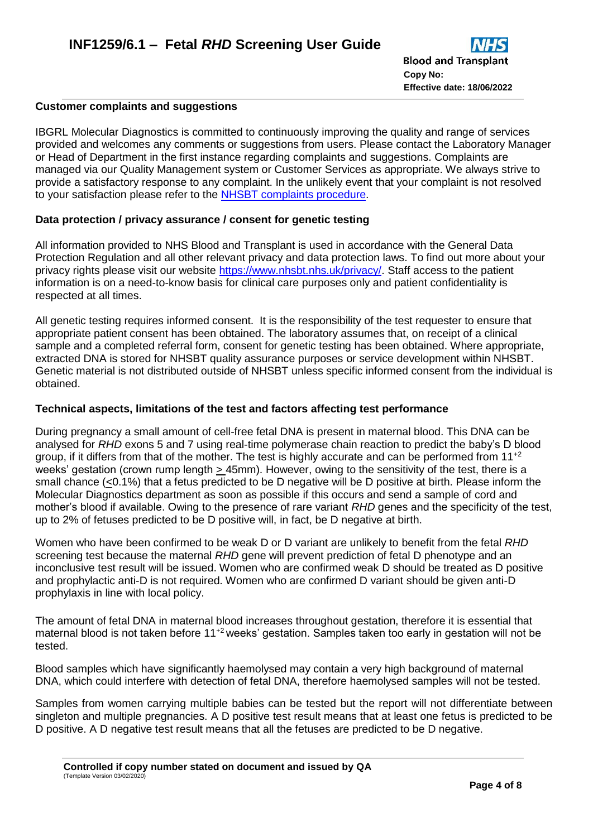#### **Customer complaints and suggestions**

IBGRL Molecular Diagnostics is committed to continuously improving the quality and range of services provided and welcomes any comments or suggestions from users. Please contact the Laboratory Manager or Head of Department in the first instance regarding complaints and suggestions. Complaints are managed via our Quality Management system or Customer Services as appropriate. We always strive to provide a satisfactory response to any complaint. In the unlikely event that your complaint is not resolved to your satisfaction please refer to the [NHSBT complaints procedure.](https://hospital.blood.co.uk/customer-service/complaints-and-compliments/)

### **Data protection / privacy assurance / consent for genetic testing**

All information provided to NHS Blood and Transplant is used in accordance with the General Data Protection Regulation and all other relevant privacy and data protection laws. To find out more about your privacy rights please visit our website [https://www.nhsbt.nhs.uk/privacy/.](https://www.nhsbt.nhs.uk/privacy/) Staff access to the patient information is on a need-to-know basis for clinical care purposes only and patient confidentiality is respected at all times.

All genetic testing requires informed consent. It is the responsibility of the test requester to ensure that appropriate patient consent has been obtained. The laboratory assumes that, on receipt of a clinical sample and a completed referral form, consent for genetic testing has been obtained. Where appropriate, extracted DNA is stored for NHSBT quality assurance purposes or service development within NHSBT. Genetic material is not distributed outside of NHSBT unless specific informed consent from the individual is obtained.

### **Technical aspects, limitations of the test and factors affecting test performance**

During pregnancy a small amount of cell-free fetal DNA is present in maternal blood. This DNA can be analysed for *RHD* exons 5 and 7 using real-time polymerase chain reaction to predict the baby's D blood group, if it differs from that of the mother. The test is highly accurate and can be performed from  $11^{+2}$ weeks' gestation (crown rump length  $\geq$  45mm). However, owing to the sensitivity of the test, there is a small chance (<0.1%) that a fetus predicted to be D negative will be D positive at birth. Please inform the Molecular Diagnostics department as soon as possible if this occurs and send a sample of cord and mother's blood if available. Owing to the presence of rare variant *RHD* genes and the specificity of the test, up to 2% of fetuses predicted to be D positive will, in fact, be D negative at birth.

Women who have been confirmed to be weak D or D variant are unlikely to benefit from the fetal *RHD* screening test because the maternal *RHD* gene will prevent prediction of fetal D phenotype and an inconclusive test result will be issued. Women who are confirmed weak D should be treated as D positive and prophylactic anti-D is not required. Women who are confirmed D variant should be given anti-D prophylaxis in line with local policy.

The amount of fetal DNA in maternal blood increases throughout gestation, therefore it is essential that maternal blood is not taken before 11<sup>+2</sup> weeks' gestation. Samples taken too early in gestation will not be tested.

Blood samples which have significantly haemolysed may contain a very high background of maternal DNA, which could interfere with detection of fetal DNA, therefore haemolysed samples will not be tested.

Samples from women carrying multiple babies can be tested but the report will not differentiate between singleton and multiple pregnancies. A D positive test result means that at least one fetus is predicted to be D positive. A D negative test result means that all the fetuses are predicted to be D negative.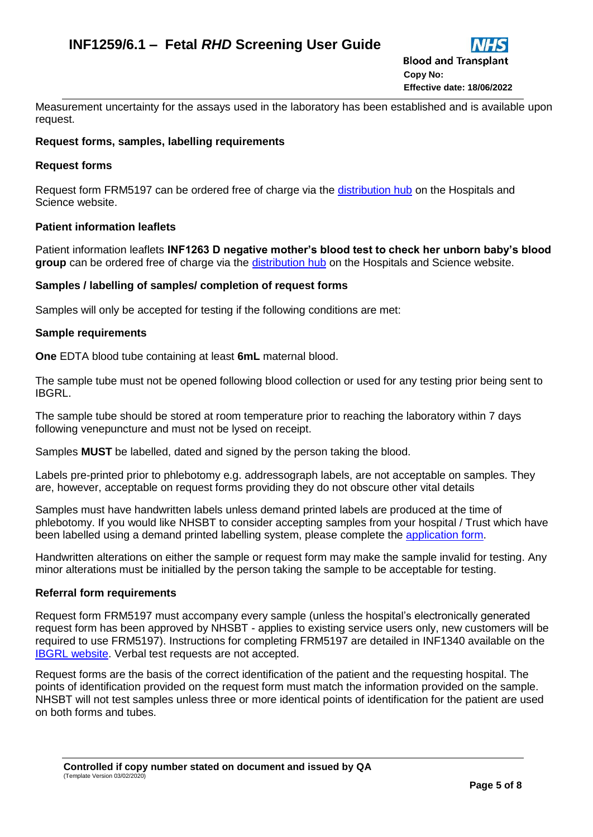Measurement uncertainty for the assays used in the laboratory has been established and is available upon request.

### **Request forms, samples, labelling requirements**

### **Request forms**

Request form FRM5197 can be ordered free of charge via the [distribution hub](https://hospital.nhsbtleaflets.co.uk/Pages/LoginPage.aspx?ReturnUrl=%2f) on the Hospitals and Science website.

### **Patient information leaflets**

Patient information leaflets **INF1263 D negative mother's blood test to check her unborn baby's blood group** can be ordered free of charge via the [distribution hub](https://hospital.nhsbtleaflets.co.uk/Pages/LoginPage.aspx?ReturnUrl=%2f) on the Hospitals and Science website.

### **Samples / labelling of samples/ completion of request forms**

Samples will only be accepted for testing if the following conditions are met:

#### **Sample requirements**

**One** EDTA blood tube containing at least **6mL** maternal blood.

The sample tube must not be opened following blood collection or used for any testing prior being sent to IBGRL.

The sample tube should be stored at room temperature prior to reaching the laboratory within 7 days following venepuncture and must not be lysed on receipt.

Samples **MUST** be labelled, dated and signed by the person taking the blood.

Labels pre-printed prior to phlebotomy e.g. addressograph labels, are not acceptable on samples. They are, however, acceptable on request forms providing they do not obscure other vital details

Samples must have handwritten labels unless demand printed labels are produced at the time of phlebotomy. If you would like NHSBT to consider accepting samples from your hospital / Trust which have been labelled using a demand printed labelling system, please complete the [application form.](https://nhsbt.onlinesurveys.ac.uk/application-for-acceptance-of-demand-printed-labels-2)

Handwritten alterations on either the sample or request form may make the sample invalid for testing. Any minor alterations must be initialled by the person taking the sample to be acceptable for testing.

### **Referral form requirements**

Request form FRM5197 must accompany every sample (unless the hospital's electronically generated request form has been approved by NHSBT - applies to existing service users only, new customers will be required to use FRM5197). Instructions for completing FRM5197 are detailed in INF1340 available on the [IBGRL website.](https://ibgrl.blood.co.uk/services/molecular-diagnostics/fetal-rhd-screen/) Verbal test requests are not accepted.

Request forms are the basis of the correct identification of the patient and the requesting hospital. The points of identification provided on the request form must match the information provided on the sample. NHSBT will not test samples unless three or more identical points of identification for the patient are used on both forms and tubes.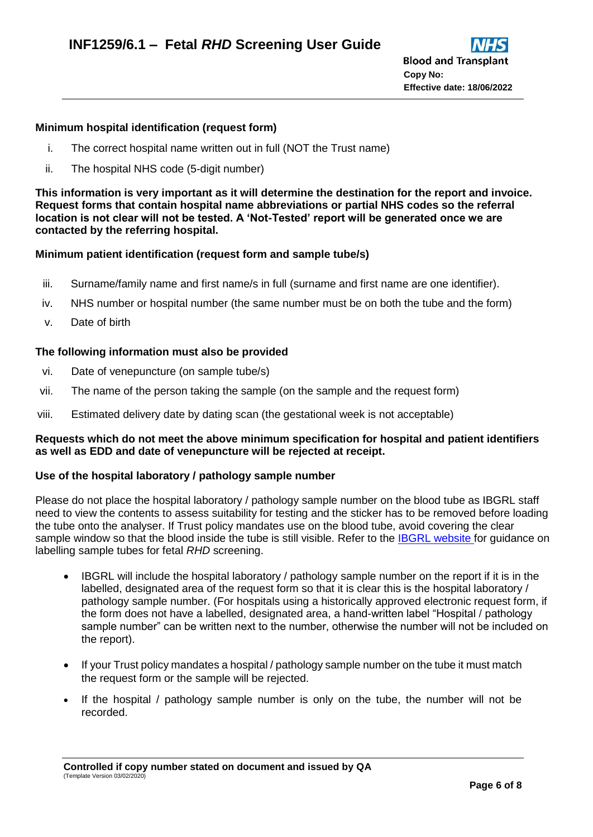### **Minimum hospital identification (request form)**

- i. The correct hospital name written out in full (NOT the Trust name)
- ii. The hospital NHS code (5-digit number)

**This information is very important as it will determine the destination for the report and invoice. Request forms that contain hospital name abbreviations or partial NHS codes so the referral location is not clear will not be tested. A 'Not-Tested' report will be generated once we are contacted by the referring hospital.**

# **Minimum patient identification (request form and sample tube/s)**

- iii. Surname/family name and first name/s in full (surname and first name are one identifier).
- iv. NHS number or hospital number (the same number must be on both the tube and the form)
- v. Date of birth

### **The following information must also be provided**

- vi. Date of venepuncture (on sample tube/s)
- vii. The name of the person taking the sample (on the sample and the request form)
- viii. Estimated delivery date by dating scan (the gestational week is not acceptable)

### **Requests which do not meet the above minimum specification for hospital and patient identifiers as well as EDD and date of venepuncture will be rejected at receipt.**

### **Use of the hospital laboratory / pathology sample number**

Please do not place the hospital laboratory / pathology sample number on the blood tube as IBGRL staff need to view the contents to assess suitability for testing and the sticker has to be removed before loading the tube onto the analyser. If Trust policy mandates use on the blood tube, avoid covering the clear sample window so that the blood inside the tube is still visible. Refer to the [IBGRL website](https://ibgrl.blood.co.uk/services/molecular-diagnostics/fetal-rhd-screen/) for quidance on labelling sample tubes for fetal *RHD* screening.

- IBGRL will include the hospital laboratory / pathology sample number on the report if it is in the labelled, designated area of the request form so that it is clear this is the hospital laboratory / pathology sample number. (For hospitals using a historically approved electronic request form, if the form does not have a labelled, designated area, a hand-written label "Hospital / pathology sample number" can be written next to the number, otherwise the number will not be included on the report).
- If your Trust policy mandates a hospital / pathology sample number on the tube it must match the request form or the sample will be rejected.
- If the hospital / pathology sample number is only on the tube, the number will not be recorded.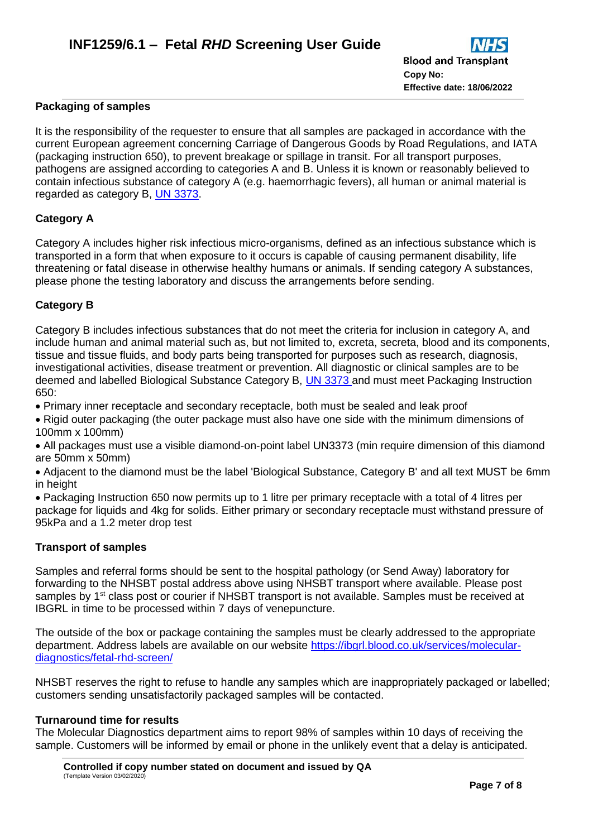### **Packaging of samples**

It is the responsibility of the requester to ensure that all samples are packaged in accordance with the current European agreement concerning Carriage of Dangerous Goods by Road Regulations, and IATA (packaging instruction 650), to prevent breakage or spillage in transit. For all transport purposes, pathogens are assigned according to categories A and B. Unless it is known or reasonably believed to contain infectious substance of category A (e.g. haemorrhagic fevers), all human or animal material is regarded as category B, [UN 3373.](https://www.gov.uk/government/publications/packaging-and-transport-requirements-for-patient-samples-un3373/packaging-and-transport-requirements-for-patient-samples-un3373)

# **Category A**

Category A includes higher risk infectious micro-organisms, defined as an infectious substance which is transported in a form that when exposure to it occurs is capable of causing permanent disability, life threatening or fatal disease in otherwise healthy humans or animals. If sending category A substances, please phone the testing laboratory and discuss the arrangements before sending.

# **Category B**

Category B includes infectious substances that do not meet the criteria for inclusion in category A, and include human and animal material such as, but not limited to, excreta, secreta, blood and its components, tissue and tissue fluids, and body parts being transported for purposes such as research, diagnosis, investigational activities, disease treatment or prevention. All diagnostic or clinical samples are to be deemed and labelled Biological Substance Category B, [UN 3373](https://www.gov.uk/government/publications/packaging-and-transport-requirements-for-patient-samples-un3373/packaging-and-transport-requirements-for-patient-samples-un3373) and must meet Packaging Instruction 650:

Primary inner receptacle and secondary receptacle, both must be sealed and leak proof

 Rigid outer packaging (the outer package must also have one side with the minimum dimensions of 100mm x 100mm)

 All packages must use a visible diamond-on-point label UN3373 (min require dimension of this diamond are 50mm x 50mm)

 Adjacent to the diamond must be the label 'Biological Substance, Category B' and all text MUST be 6mm in height

 Packaging Instruction 650 now permits up to 1 litre per primary receptacle with a total of 4 litres per package for liquids and 4kg for solids. Either primary or secondary receptacle must withstand pressure of 95kPa and a 1.2 meter drop test

#### **Transport of samples**

Samples and referral forms should be sent to the hospital pathology (or Send Away) laboratory for forwarding to the NHSBT postal address above using NHSBT transport where available. Please post samples by 1<sup>st</sup> class post or courier if NHSBT transport is not available. Samples must be received at IBGRL in time to be processed within 7 days of venepuncture.

The outside of the box or package containing the samples must be clearly addressed to the appropriate department. Address labels are available on our website [https://ibgrl.blood.co.uk/services/molecular](https://ibgrl.blood.co.uk/services/molecular-diagnostics/fetal-rhd-screen/)[diagnostics/fetal-rhd-screen/](https://ibgrl.blood.co.uk/services/molecular-diagnostics/fetal-rhd-screen/)

NHSBT reserves the right to refuse to handle any samples which are inappropriately packaged or labelled; customers sending unsatisfactorily packaged samples will be contacted.

#### **Turnaround time for results**

The Molecular Diagnostics department aims to report 98% of samples within 10 days of receiving the sample. Customers will be informed by email or phone in the unlikely event that a delay is anticipated.